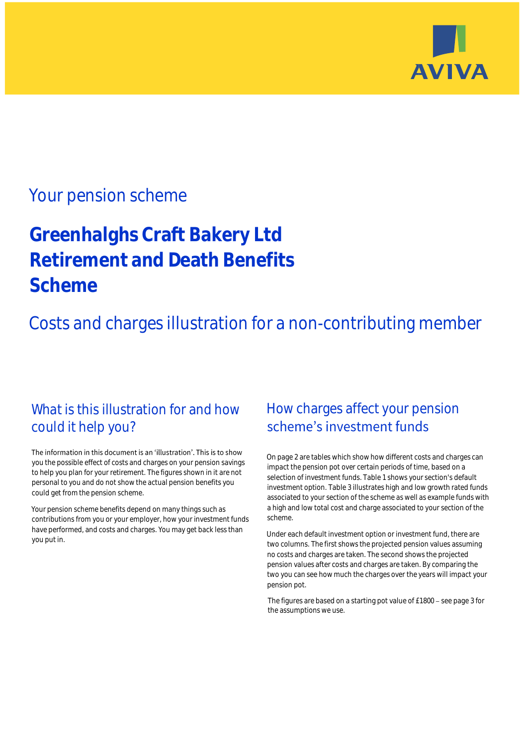

## Your pension scheme

# **Greenhalghs Craft Bakery Ltd Retirement and Death Benefits Scheme**

Costs and charges illustration for a non-contributing member

### What is this illustration for and how could it help you?

#### The information in this document is an 'illustration'. This is to show you the possible effect of costs and charges on your pension savings to help you plan for your retirement. The figures shown in it are not personal to you and do not show the actual pension benefits you could get from the pension scheme.

Your pension scheme benefits depend on many things such as contributions from you or your employer, how your investment funds have performed, and costs and charges. You may get back less than you put in.

### How charges affect your pension scheme's investment funds

On page 2 are tables which show how different costs and charges can impact the pension pot over certain periods of time, based on a selection of investment funds. Table 1 shows your section's default investment option. Table 3 illustrates high and low growth rated funds associated to your section of the scheme as well as example funds with a high and low total cost and charge associated to your section of the scheme.

Under each default investment option or investment fund, there are two columns. The first shows the projected pension values assuming no costs and charges are taken. The second shows the projected pension values after costs and charges are taken. By comparing the two you can see how much the charges over the years will impact your pension pot.

The figures are based on a starting pot value of  $£1800 -$  see page 3 for the assumptions we use.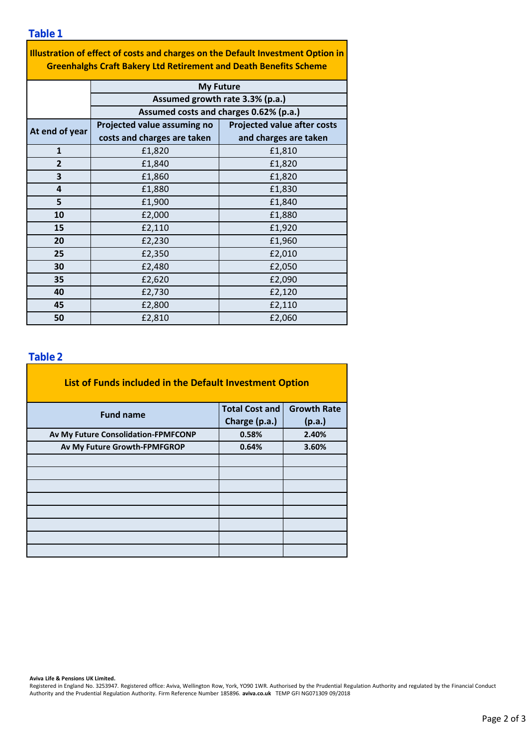**Table 1**

| Illustration of effect of costs and charges on the Default Investment Option in |  |
|---------------------------------------------------------------------------------|--|
| <b>Greenhalghs Craft Bakery Ltd Retirement and Death Benefits Scheme</b>        |  |

|                | <b>My Future</b>                       |                                    |  |  |  |  |  |
|----------------|----------------------------------------|------------------------------------|--|--|--|--|--|
|                | Assumed growth rate 3.3% (p.a.)        |                                    |  |  |  |  |  |
|                | Assumed costs and charges 0.62% (p.a.) |                                    |  |  |  |  |  |
| At end of year | Projected value assuming no            | <b>Projected value after costs</b> |  |  |  |  |  |
|                | costs and charges are taken            | and charges are taken              |  |  |  |  |  |
| $\mathbf{1}$   | £1,820                                 | £1,810                             |  |  |  |  |  |
| $\overline{2}$ | £1,840                                 | £1,820                             |  |  |  |  |  |
| 3              | £1,860                                 | £1,820                             |  |  |  |  |  |
| 4              | £1,880                                 | £1,830                             |  |  |  |  |  |
| 5              | £1,900                                 | £1,840                             |  |  |  |  |  |
| 10             | £2,000                                 | £1,880                             |  |  |  |  |  |
| 15             | £2,110                                 | £1,920                             |  |  |  |  |  |
| 20             | £2,230                                 | £1,960                             |  |  |  |  |  |
| 25             | £2,350                                 | £2,010                             |  |  |  |  |  |
| 30             | £2,480                                 | £2,050                             |  |  |  |  |  |
| 35             | £2,620                                 | £2,090                             |  |  |  |  |  |
| 40             | £2,730                                 | £2,120                             |  |  |  |  |  |
| 45             | £2,800                                 | £2,110                             |  |  |  |  |  |
| 50             | £2,810                                 | £2,060                             |  |  |  |  |  |

### **Table 2**

| List of Funds included in the Default Investment Option |                       |                    |
|---------------------------------------------------------|-----------------------|--------------------|
| <b>Fund name</b>                                        | <b>Total Cost and</b> | <b>Growth Rate</b> |
|                                                         | Charge (p.a.)         | (p.a.)             |
| Av My Future Consolidation-FPMFCONP                     | 0.58%                 | 2.40%              |
| Av My Future Growth-FPMFGROP                            | 0.64%                 | 3.60%              |
|                                                         |                       |                    |
|                                                         |                       |                    |
|                                                         |                       |                    |
|                                                         |                       |                    |
|                                                         |                       |                    |
|                                                         |                       |                    |
|                                                         |                       |                    |
|                                                         |                       |                    |

**Aviva Life & Pensions UK Limited.**

Registered in England No. 3253947. Registered office: Aviva, Wellington Row, York, YO90 1WR. Authorised by the Prudential Regulation Authority and regulated by the Financial Conduct Authority and the Prudential Regulation Authority. Firm Reference Number 185896. **aviva.co.uk** TEMP GFI NG071309 09/2018